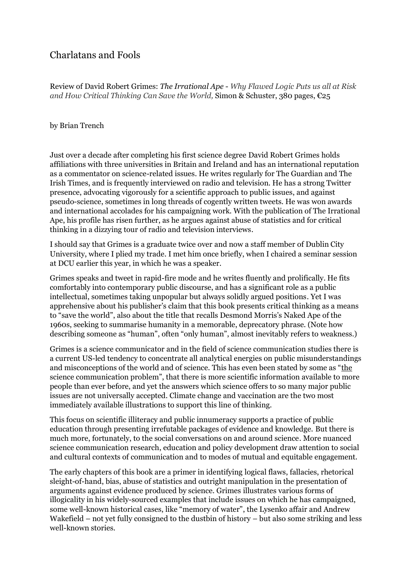## Charlatans and Fools

Review of David Robert Grimes: *The Irrational Ape* - *Why Flawed Logic Puts us all at Risk and How Critical Thinking Can Save the World,* Simon & Schuster, 380 pages, €25

## by Brian Trench

Just over a decade after completing his first science degree David Robert Grimes holds affiliations with three universities in Britain and Ireland and has an international reputation as a commentator on science-related issues. He writes regularly for The Guardian and The Irish Times, and is frequently interviewed on radio and television. He has a strong Twitter presence, advocating vigorously for a scientific approach to public issues, and against pseudo-science, sometimes in long threads of cogently written tweets. He was won awards and international accolades for his campaigning work. With the publication of The Irrational Ape, his profile has risen further, as he argues against abuse of statistics and for critical thinking in a dizzying tour of radio and television interviews.

I should say that Grimes is a graduate twice over and now a staff member of Dublin City University, where I plied my trade. I met him once briefly, when I chaired a seminar session at DCU earlier this year, in which he was a speaker.

Grimes speaks and tweet in rapid-fire mode and he writes fluently and prolifically. He fits comfortably into contemporary public discourse, and has a significant role as a public intellectual, sometimes taking unpopular but always solidly argued positions. Yet I was apprehensive about his publisher's claim that this book presents critical thinking as a means to "save the world", also about the title that recalls Desmond Morris's Naked Ape of the 1960s, seeking to summarise humanity in a memorable, deprecatory phrase. (Note how describing someone as "human", often "only human", almost inevitably refers to weakness.)

Grimes is a science communicator and in the field of science communication studies there is a current US-led tendency to concentrate all analytical energies on public misunderstandings and misconceptions of the world and of science. This has even been stated by some as "the science communication problem", that there is more scientific information available to more people than ever before, and yet the answers which science offers to so many major public issues are not universally accepted. Climate change and vaccination are the two most immediately available illustrations to support this line of thinking.

This focus on scientific illiteracy and public innumeracy supports a practice of public education through presenting irrefutable packages of evidence and knowledge. But there is much more, fortunately, to the social conversations on and around science. More nuanced science communication research, education and policy development draw attention to social and cultural contexts of communication and to modes of mutual and equitable engagement.

The early chapters of this book are a primer in identifying logical flaws, fallacies, rhetorical sleight-of-hand, bias, abuse of statistics and outright manipulation in the presentation of arguments against evidence produced by science. Grimes illustrates various forms of illogicality in his widely-sourced examples that include issues on which he has campaigned, some well-known historical cases, like "memory of water", the Lysenko affair and Andrew Wakefield – not yet fully consigned to the dustbin of history – but also some striking and less well-known stories.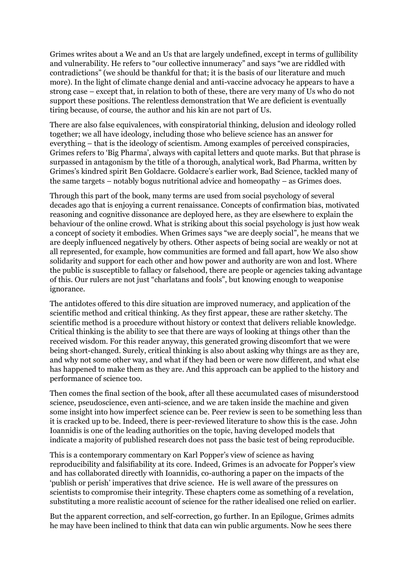Grimes writes about a We and an Us that are largely undefined, except in terms of gullibility and vulnerability. He refers to "our collective innumeracy" and says "we are riddled with contradictions" (we should be thankful for that; it is the basis of our literature and much more). In the light of climate change denial and anti-vaccine advocacy he appears to have a strong case – except that, in relation to both of these, there are very many of Us who do not support these positions. The relentless demonstration that We are deficient is eventually tiring because, of course, the author and his kin are not part of Us.

There are also false equivalences, with conspiratorial thinking, delusion and ideology rolled together; we all have ideology, including those who believe science has an answer for everything – that is the ideology of scientism. Among examples of perceived conspiracies, Grimes refers to 'Big Pharma', always with capital letters and quote marks. But that phrase is surpassed in antagonism by the title of a thorough, analytical work, Bad Pharma, written by Grimes's kindred spirit Ben Goldacre. Goldacre's earlier work, Bad Science, tackled many of the same targets – notably bogus nutritional advice and homeopathy – as Grimes does.

Through this part of the book, many terms are used from social psychology of several decades ago that is enjoying a current renaissance. Concepts of confirmation bias, motivated reasoning and cognitive dissonance are deployed here, as they are elsewhere to explain the behaviour of the online crowd. What is striking about this social psychology is just how weak a concept of society it embodies. When Grimes says "we are deeply social", he means that we are deeply influenced negatively by others. Other aspects of being social are weakly or not at all represented, for example, how communities are formed and fall apart, how We also show solidarity and support for each other and how power and authority are won and lost. Where the public is susceptible to fallacy or falsehood, there are people or agencies taking advantage of this. Our rulers are not just "charlatans and fools", but knowing enough to weaponise ignorance.

The antidotes offered to this dire situation are improved numeracy, and application of the scientific method and critical thinking. As they first appear, these are rather sketchy. The scientific method is a procedure without history or context that delivers reliable knowledge. Critical thinking is the ability to see that there are ways of looking at things other than the received wisdom. For this reader anyway, this generated growing discomfort that we were being short-changed. Surely, critical thinking is also about asking why things are as they are, and why not some other way, and what if they had been or were now different, and what else has happened to make them as they are. And this approach can be applied to the history and performance of science too.

Then comes the final section of the book, after all these accumulated cases of misunderstood science, pseudoscience, even anti-science, and we are taken inside the machine and given some insight into how imperfect science can be. Peer review is seen to be something less than it is cracked up to be. Indeed, there is peer-reviewed literature to show this is the case. John Ioannidis is one of the leading authorities on the topic, having developed models that indicate a majority of published research does not pass the basic test of being reproducible.

This is a contemporary commentary on Karl Popper's view of science as having reproducibility and falsifiability at its core. Indeed, Grimes is an advocate for Popper's view and has collaborated directly with Ioannidis, co-authoring a paper on the impacts of the 'publish or perish' imperatives that drive science. He is well aware of the pressures on scientists to compromise their integrity. These chapters come as something of a revelation, substituting a more realistic account of science for the rather idealised one relied on earlier.

But the apparent correction, and self-correction, go further. In an Epilogue, Grimes admits he may have been inclined to think that data can win public arguments. Now he sees there